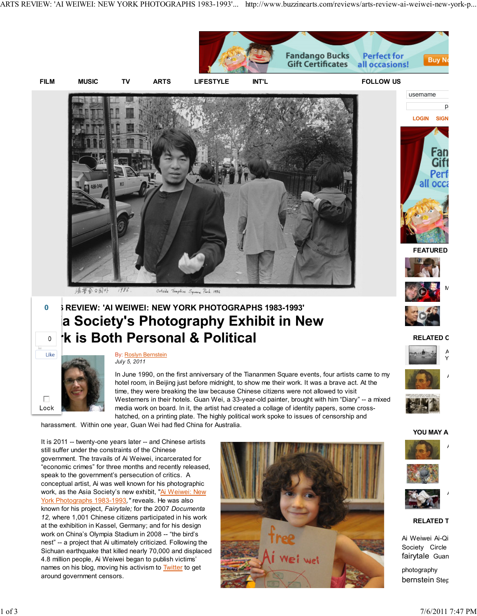ARTS REVIEW: 'AI WEIWEI: NEW YORK PHOTOGRAPHS 1983-1993'... http://www.buzzinearts.com/reviews/arts-review-ai-weiwei-new-york-p...

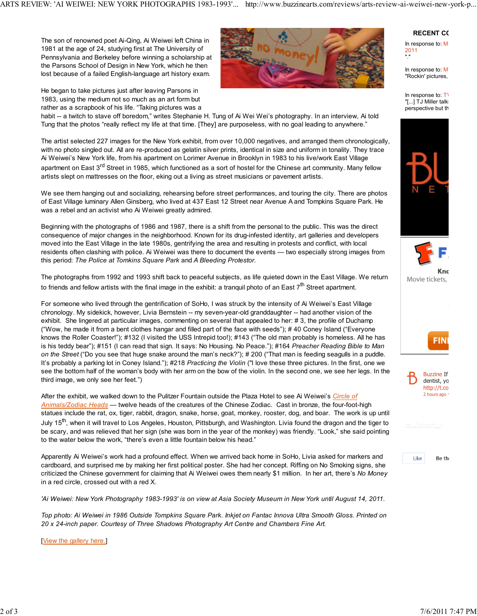The son of renowned poet Ai-Qing, Ai Weiwei left China in 1981 at the age of 24, studying first at The University of Pennsylvania and Berkeley before winning a scholarship at the Parsons School of Design in New York, which he then lost because of a failed English-language art history exam.

He began to take pictures just after leaving Parsons in 1983, using the medium not so much as an art form but rather as a scrapbook of his life. "Taking pictures was a



habit -- a twitch to stave off boredom," writes Stephanie H. Tung of Ai Wei Wei's photography. In an interview, Ai told Tung that the photos "really reflect my life at that time. [They] are purposeless, with no goal leading to anywhere."

The artist selected 227 images for the New York exhibit, from over 10,000 negatives, and arranged them chronologically, with no photo singled out. All are re-produced as gelatin silver prints, identical in size and uniform in tonality. They trace Ai Weiwei's New York life, from his apartment on Lorimer Avenue in Brooklyn in 1983 to his live/work East Village apartment on East 3<sup>rd</sup> Street in 1985, which functioned as a sort of hostel for the Chinese art community. Many fellow artists slept on mattresses on the floor, eking out a living as street musicians or pavement artists.

We see them hanging out and socializing, rehearsing before street performances, and touring the city. There are photos of East Village luminary Allen Ginsberg, who lived at 437 East 12 Street near Avenue A and Tompkins Square Park. He was a rebel and an activist who Ai Weiwei greatly admired.

Beginning with the photographs of 1986 and 1987, there is a shift from the personal to the public. This was the direct consequence of major changes in the neighborhood. Known for its drug-infested identity, art galleries and developers moved into the East Village in the late 1980s, gentrifying the area and resulting in protests and conflict, with local residents often clashing with police. Ai Weiwei was there to document the events — two especially strong images from this period: The Police at Tomkins Square Park and A Bleeding Protestor.

The photographs from 1992 and 1993 shift back to peaceful subjects, as life quieted down in the East Village. We return to friends and fellow artists with the final image in the exhibit: a tranquil photo of an East 7<sup>th</sup> Street apartment.

For someone who lived through the gentrification of SoHo, I was struck by the intensity of Ai Weiwei's East Village chronology. My sidekick, however, Livia Bernstein -- my seven-year-old granddaughter -- had another vision of the exhibit. She lingered at particular images, commenting on several that appealed to her: # 3, the profile of Duchamp ("Wow, he made it from a bent clothes hangar and filled part of the face with seeds"); # 40 Coney Island ("Everyone knows the Roller Coaster!"); #132 (I visited the USS Intrepid too!); #143 ("The old man probably is homeless. All he has is his teddy bear"); #151 (I can read that sign. It says: No Housing. No Peace."); #164 Preacher Reading Bible to Man on the Street ("Do you see that huge snake around the man's neck?"); # 200 ("That man is feeding seagulls in a puddle. It's probably a parking lot in Coney Island."); #218 Practicing the Violin ("I love these three pictures. In the first, one we see the bottom half of the woman's body with her arm on the bow of the violin. In the second one, we see her legs. In the third image, we only see her feet.")

After the exhibit, we walked down to the Pulitzer Fountain outside the Plaza Hotel to see Ai Weiwei's Circle of Animals/Zodiac Heads — twelve heads of the creatures of the Chinese Zodiac. Cast in bronze, the four-foot-high statues include the rat, ox, tiger, rabbit, dragon, snake, horse, goat, monkey, rooster, dog, and boar. The work is up until July 15<sup>th</sup>, when it will travel to Los Angeles, Houston, Pittsburgh, and Washington. Livia found the dragon and the tiger to be scary, and was relieved that her sign (she was born in the year of the monkey) was friendly. "Look," she said pointing to the water below the work, "there's even a little fountain below his head."

Apparently Ai Weiwei's work had a profound effect. When we arrived back home in SoHo, Livia asked for markers and cardboard, and surprised me by making her first political poster. She had her concept. Riffing on No Smoking signs, she criticized the Chinese government for claiming that Ai Weiwei owes them nearly \$1 million. In her art, there's No Money in a red circle, crossed out with a red X.

'Ai Weiwei: New York Photography 1983-1993' is on view at Asia Society Museum in New York until August 14, 2011.

Top photo: Ai Weiwei in 1986 Outside Tompkins Square Park. Inkjet on Fantac Innova Ultra Smooth Gloss. Printed on 20 x 24-inch paper. Courtesy of Three Shadows Photography Art Centre and Chambers Fine Art.

[View the gallery here.]

## **RECENT CO**

In response to:  $M$ 2011 "."

In response to:  $M$ "Rockin' pictures.

In response to:  $T$ "[...] TJ Miller talk: perspective but th





Movie tickets,







Like

Be th